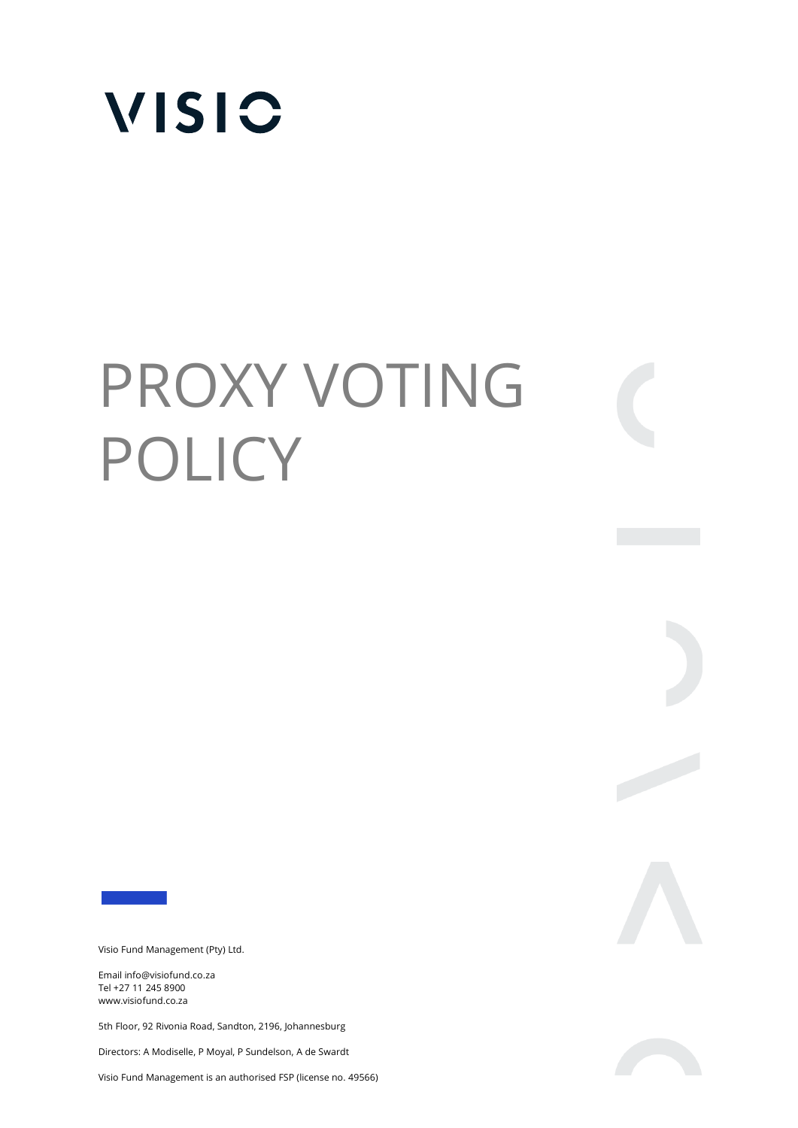

# PROXY VOTING POLICY

Visio Fund Management (Pty) Ltd.

Email info@visiofund.co.za Tel +27 11 245 8900 www.visiofund.co.za

5th Floor, 92 Rivonia Road, Sandton, 2196, Johannesburg

Directors: A Modiselle, P Moyal, P Sundelson, A de Swardt

Visio Fund Management is an authorised FSP (license no. 49566)



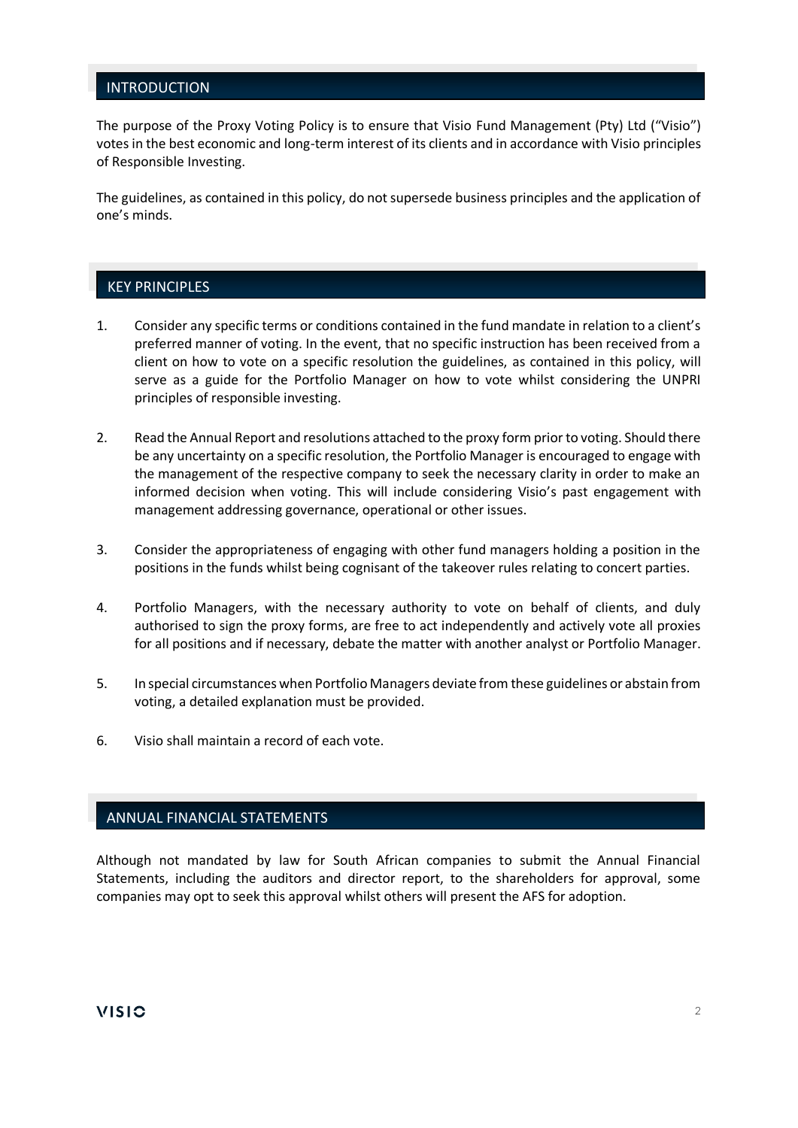# INTRODUCTION

The purpose of the Proxy Voting Policy is to ensure that Visio Fund Management (Pty) Ltd ("Visio") votes in the best economic and long-term interest of its clients and in accordance with Visio principles of Responsible Investing.

The guidelines, as contained in this policy, do not supersede business principles and the application of one's minds.

## KEY PRINCIPLES

- 1. Consider any specific terms or conditions contained in the fund mandate in relation to a client's preferred manner of voting. In the event, that no specific instruction has been received from a client on how to vote on a specific resolution the guidelines, as contained in this policy, will serve as a guide for the Portfolio Manager on how to vote whilst considering the UNPRI principles of responsible investing.
- 2. Read the Annual Report and resolutions attached to the proxy form prior to voting. Should there be any uncertainty on a specific resolution, the Portfolio Manager is encouraged to engage with the management of the respective company to seek the necessary clarity in order to make an informed decision when voting. This will include considering Visio's past engagement with management addressing governance, operational or other issues.
- 3. Consider the appropriateness of engaging with other fund managers holding a position in the positions in the funds whilst being cognisant of the takeover rules relating to concert parties.
- 4. Portfolio Managers, with the necessary authority to vote on behalf of clients, and duly authorised to sign the proxy forms, are free to act independently and actively vote all proxies for all positions and if necessary, debate the matter with another analyst or Portfolio Manager.
- 5. In special circumstances when Portfolio Managers deviate from these guidelines or abstain from voting, a detailed explanation must be provided.
- 6. Visio shall maintain a record of each vote.

# ANNUAL FINANCIAL STATEMENTS

Although not mandated by law for South African companies to submit the Annual Financial Statements, including the auditors and director report, to the shareholders for approval, some companies may opt to seek this approval whilst others will present the AFS for adoption.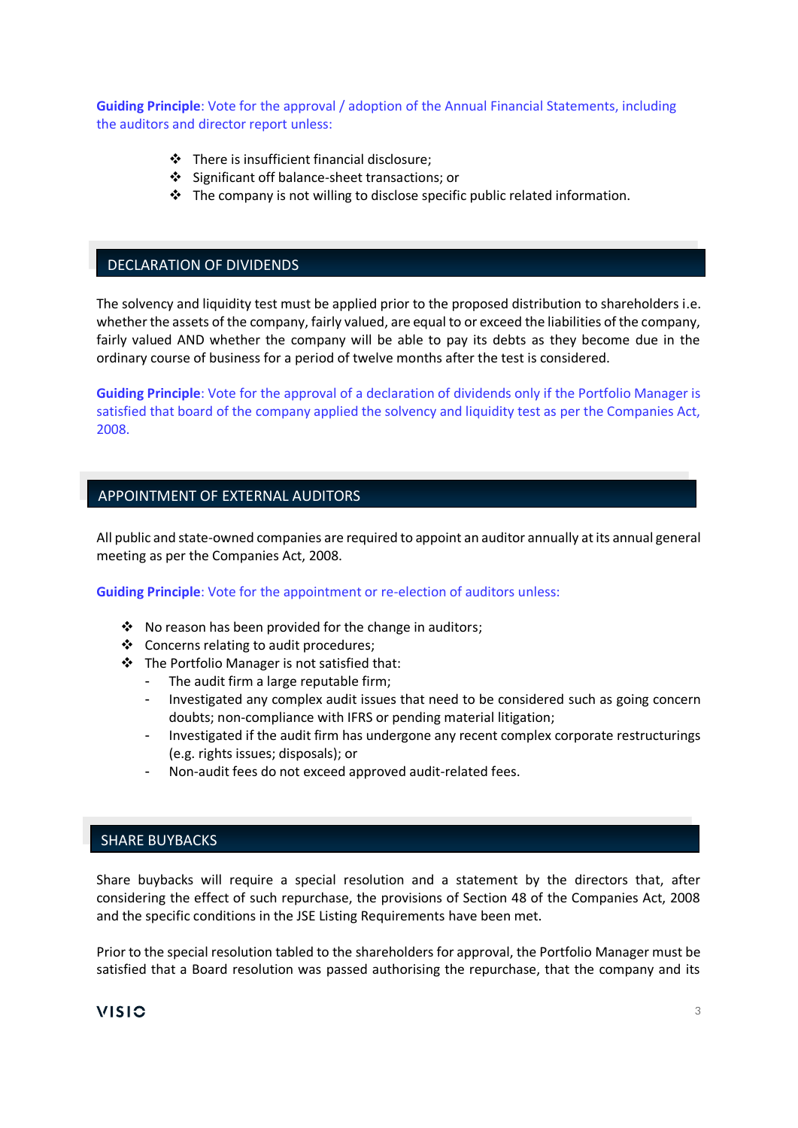**Guiding Principle**: Vote for the approval / adoption of the Annual Financial Statements, including the auditors and director report unless:

- ❖ There is insufficient financial disclosure;
- ❖ Significant off balance-sheet transactions; or
- ❖ The company is not willing to disclose specific public related information.

# DECLARATION OF DIVIDENDS

The solvency and liquidity test must be applied prior to the proposed distribution to shareholders i.e. whether the assets of the company, fairly valued, are equal to or exceed the liabilities of the company, fairly valued AND whether the company will be able to pay its debts as they become due in the ordinary course of business for a period of twelve months after the test is considered.

**Guiding Principle**: Vote for the approval of a declaration of dividends only if the Portfolio Manager is satisfied that board of the company applied the solvency and liquidity test as per the Companies Act, 2008.

# APPOINTMENT OF EXTERNAL AUDITORS

All public and state-owned companies are required to appoint an auditor annually at its annual general meeting as per the Companies Act, 2008.

**Guiding Principle**: Vote for the appointment or re-election of auditors unless:

- ❖ No reason has been provided for the change in auditors;
- ❖ Concerns relating to audit procedures;
- ❖ The Portfolio Manager is not satisfied that:
	- The audit firm a large reputable firm;
	- Investigated any complex audit issues that need to be considered such as going concern doubts; non-compliance with IFRS or pending material litigation;
	- Investigated if the audit firm has undergone any recent complex corporate restructurings (e.g. rights issues; disposals); or
	- Non-audit fees do not exceed approved audit-related fees.

# SHARE BUYBACKS

Share buybacks will require a special resolution and a statement by the directors that, after considering the effect of such repurchase, the provisions of Section 48 of the Companies Act, 2008 and the specific conditions in the JSE Listing Requirements have been met.

Prior to the special resolution tabled to the shareholders for approval, the Portfolio Manager must be satisfied that a Board resolution was passed authorising the repurchase, that the company and its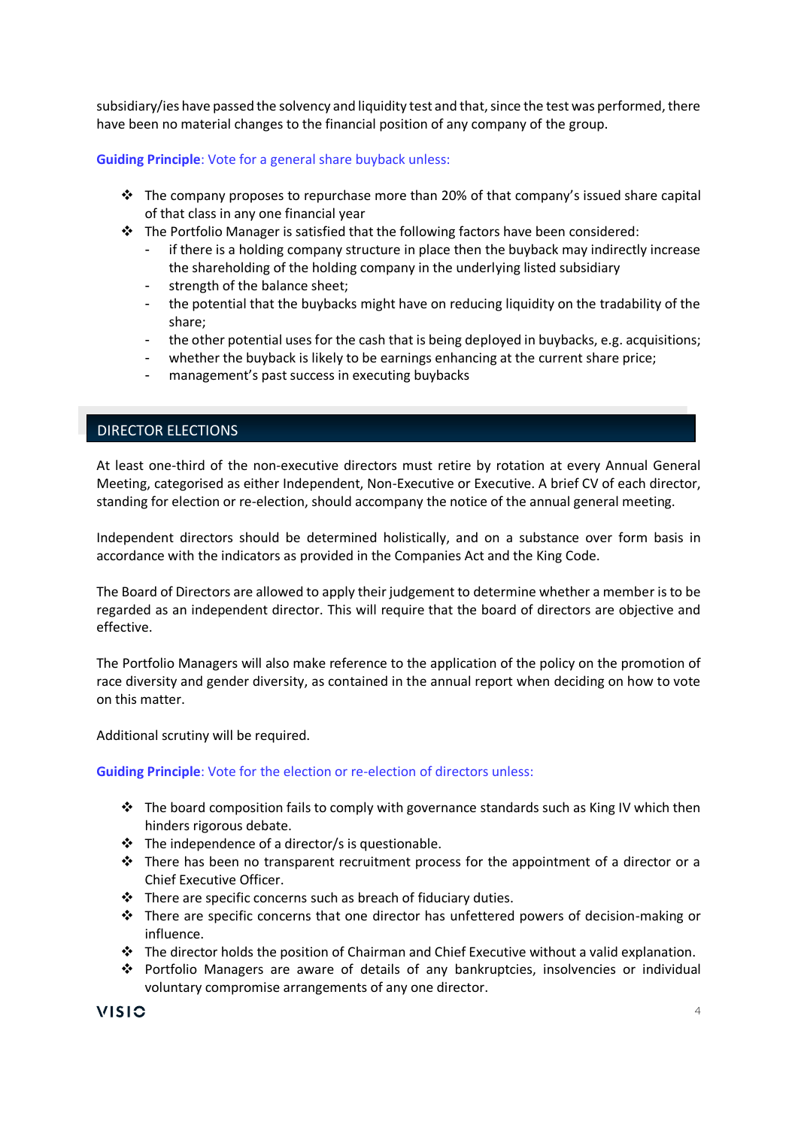subsidiary/ies have passed the solvency and liquidity test and that, since the test was performed, there have been no material changes to the financial position of any company of the group.

## **Guiding Principle**: Vote for a general share buyback unless:

- $\div$  The company proposes to repurchase more than 20% of that company's issued share capital of that class in any one financial year
- $\cdot \cdot$  The Portfolio Manager is satisfied that the following factors have been considered:
	- if there is a holding company structure in place then the buyback may indirectly increase the shareholding of the holding company in the underlying listed subsidiary
	- strength of the balance sheet;
	- the potential that the buybacks might have on reducing liquidity on the tradability of the share;
	- the other potential uses for the cash that is being deployed in buybacks, e.g. acquisitions;
	- whether the buyback is likely to be earnings enhancing at the current share price;
	- management's past success in executing buybacks

# DIRECTOR ELECTIONS

At least one-third of the non-executive directors must retire by rotation at every Annual General Meeting, categorised as either Independent, Non-Executive or Executive. A brief CV of each director, standing for election or re-election, should accompany the notice of the annual general meeting.

Independent directors should be determined holistically, and on a substance over form basis in accordance with the indicators as provided in the Companies Act and the King Code.

The Board of Directors are allowed to apply their judgement to determine whether a member is to be regarded as an independent director. This will require that the board of directors are objective and effective.

The Portfolio Managers will also make reference to the application of the policy on the promotion of race diversity and gender diversity, as contained in the annual report when deciding on how to vote on this matter.

Additional scrutiny will be required.

## **Guiding Principle**: Vote for the election or re-election of directors unless:

- $\div$  The board composition fails to comply with governance standards such as King IV which then hinders rigorous debate.
- $\cdot \cdot$  The independence of a director/s is questionable.
- $\cdot \cdot$  There has been no transparent recruitment process for the appointment of a director or a Chief Executive Officer.
- $\cdot \cdot$  There are specific concerns such as breach of fiduciary duties.
- ❖ There are specific concerns that one director has unfettered powers of decision-making or influence.
- ❖ The director holds the position of Chairman and Chief Executive without a valid explanation.
- ❖ Portfolio Managers are aware of details of any bankruptcies, insolvencies or individual voluntary compromise arrangements of any one director.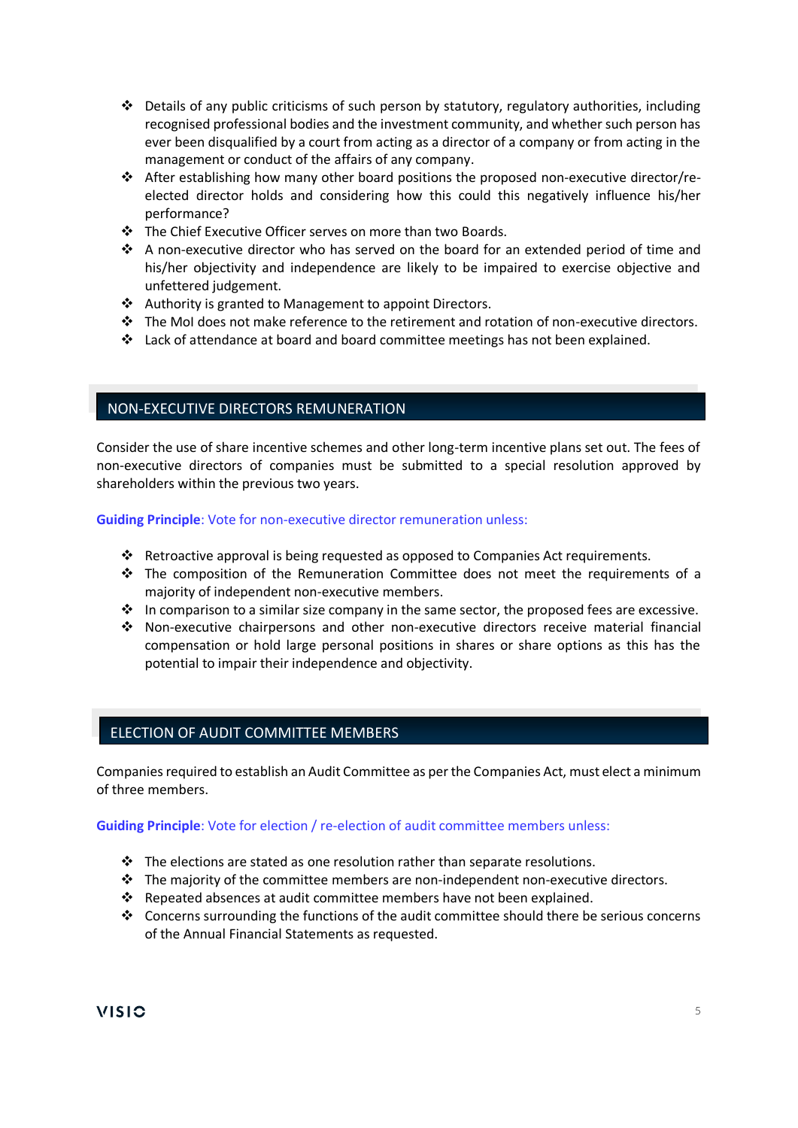- ❖ Details of any public criticisms of such person by statutory, regulatory authorities, including recognised professional bodies and the investment community, and whether such person has ever been disqualified by a court from acting as a director of a company or from acting in the management or conduct of the affairs of any company.
- ❖ After establishing how many other board positions the proposed non-executive director/reelected director holds and considering how this could this negatively influence his/her performance?
- ❖ The Chief Executive Officer serves on more than two Boards.
- ❖ A non-executive director who has served on the board for an extended period of time and his/her objectivity and independence are likely to be impaired to exercise objective and unfettered judgement.
- ❖ Authority is granted to Management to appoint Directors.
- ❖ The MoI does not make reference to the retirement and rotation of non-executive directors.
- ❖ Lack of attendance at board and board committee meetings has not been explained.

## NON-EXECUTIVE DIRECTORS REMUNERATION

Consider the use of share incentive schemes and other long-term incentive plans set out. The fees of non-executive directors of companies must be submitted to a special resolution approved by shareholders within the previous two years.

**Guiding Principle**: Vote for non-executive director remuneration unless:

- ❖ Retroactive approval is being requested as opposed to Companies Act requirements.
- ❖ The composition of the Remuneration Committee does not meet the requirements of a majority of independent non-executive members.
- $\clubsuit$  In comparison to a similar size company in the same sector, the proposed fees are excessive.
- ❖ Non-executive chairpersons and other non-executive directors receive material financial compensation or hold large personal positions in shares or share options as this has the potential to impair their independence and objectivity.

# ELECTION OF AUDIT COMMITTEE MEMBERS

Companies required to establish an Audit Committee as per the Companies Act, must elect a minimum of three members.

#### **Guiding Principle**: Vote for election / re-election of audit committee members unless:

- $\cdot \cdot$  The elections are stated as one resolution rather than separate resolutions.
- $\div$  The majority of the committee members are non-independent non-executive directors.
- $\cdot \cdot$  Repeated absences at audit committee members have not been explained.
- ❖ Concerns surrounding the functions of the audit committee should there be serious concerns of the Annual Financial Statements as requested.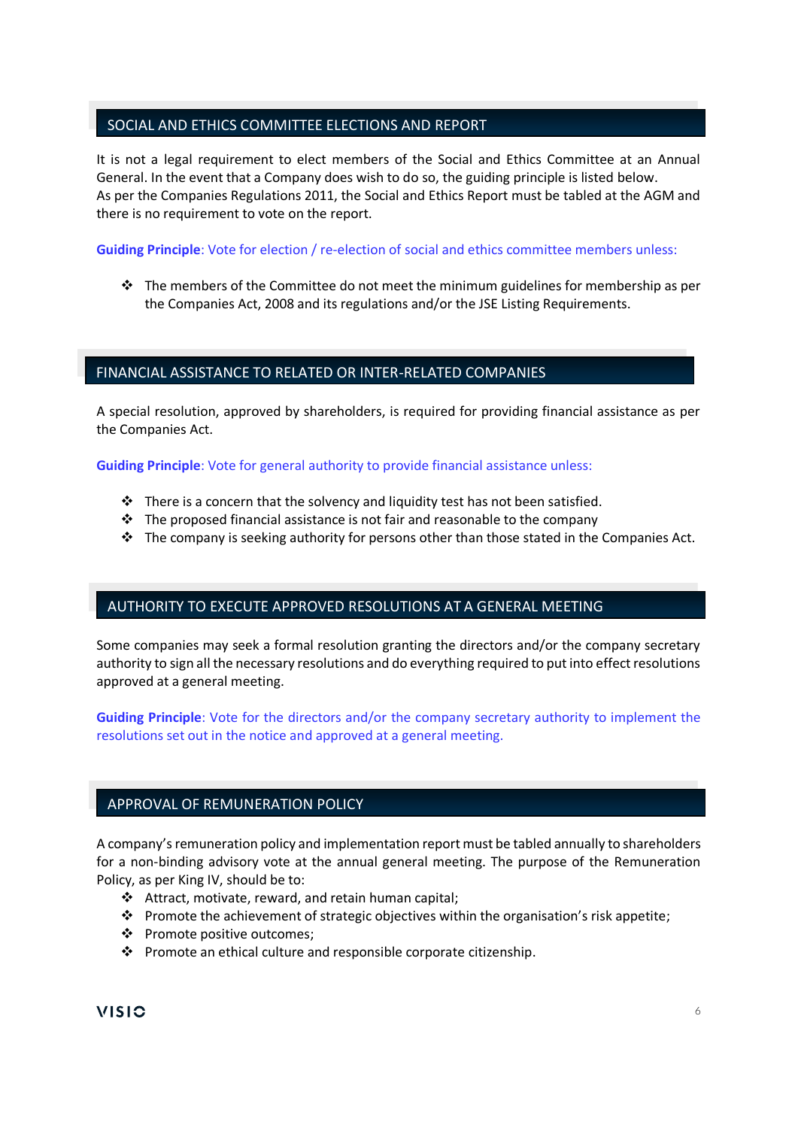# SOCIAL AND ETHICS COMMITTEE ELECTIONS AND REPORT

It is not a legal requirement to elect members of the Social and Ethics Committee at an Annual General. In the event that a Company does wish to do so, the guiding principle is listed below. As per the Companies Regulations 2011, the Social and Ethics Report must be tabled at the AGM and there is no requirement to vote on the report.

**Guiding Principle**: Vote for election / re-election of social and ethics committee members unless:

 $\div$  The members of the Committee do not meet the minimum guidelines for membership as per the Companies Act, 2008 and its regulations and/or the JSE Listing Requirements.

# FINANCIAL ASSISTANCE TO RELATED OR INTER-RELATED COMPANIES

A special resolution, approved by shareholders, is required for providing financial assistance as per the Companies Act.

**Guiding Principle**: Vote for general authority to provide financial assistance unless:

- ❖ There is a concern that the solvency and liquidity test has not been satisfied.
- $\cdot \cdot$  The proposed financial assistance is not fair and reasonable to the company
- $\cdot \cdot$  The company is seeking authority for persons other than those stated in the Companies Act.

# AUTHORITY TO EXECUTE APPROVED RESOLUTIONS AT A GENERAL MEETING

Some companies may seek a formal resolution granting the directors and/or the company secretary authority to sign all the necessary resolutions and do everything required to put into effect resolutions approved at a general meeting.

**Guiding Principle**: Vote for the directors and/or the company secretary authority to implement the resolutions set out in the notice and approved at a general meeting.

# APPROVAL OF REMUNERATION POLICY

A company's remuneration policy and implementation report must be tabled annually to shareholders for a non-binding advisory vote at the annual general meeting. The purpose of the Remuneration Policy, as per King IV, should be to:

- ❖ Attract, motivate, reward, and retain human capital;
- ❖ Promote the achievement of strategic objectives within the organisation's risk appetite;
- ❖ Promote positive outcomes;
- ❖ Promote an ethical culture and responsible corporate citizenship.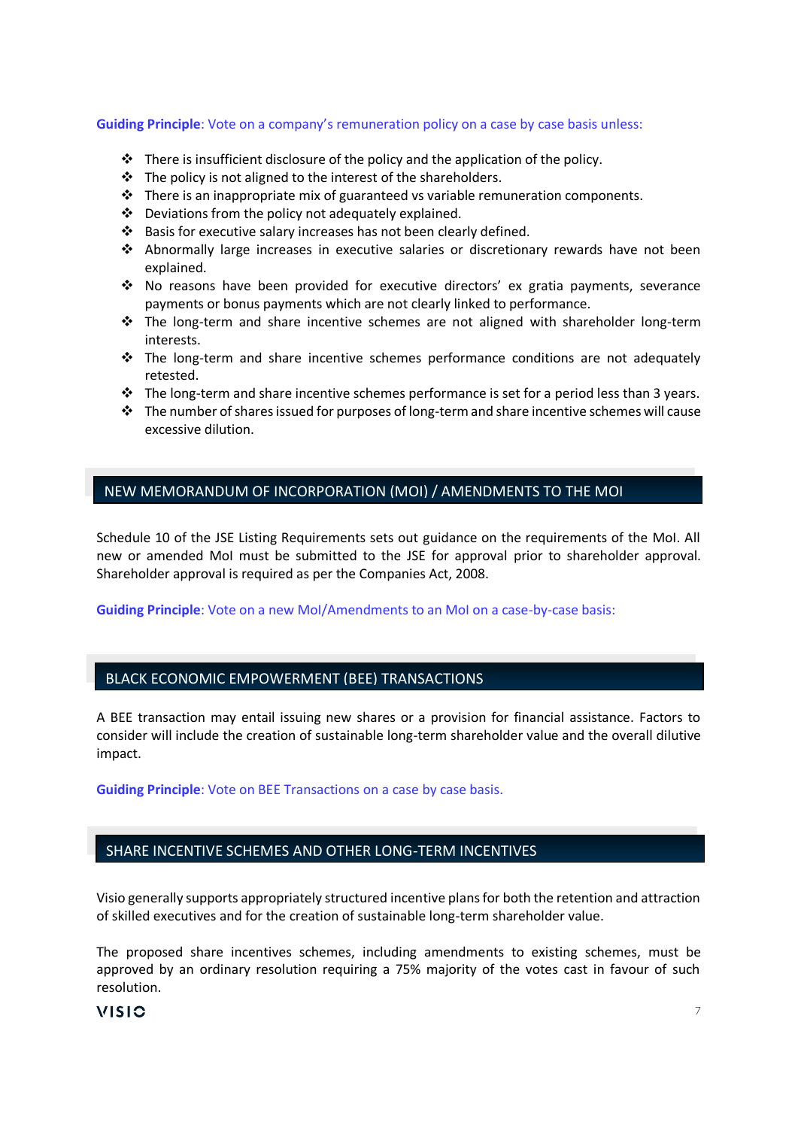#### **Guiding Principle**: Vote on a company's remuneration policy on a case by case basis unless:

- $\cdot \cdot$  There is insufficient disclosure of the policy and the application of the policy.
- ❖ The policy is not aligned to the interest of the shareholders.
- $\div$  There is an inappropriate mix of guaranteed vs variable remuneration components.
- ❖ Deviations from the policy not adequately explained.
- ❖ Basis for executive salary increases has not been clearly defined.
- ❖ Abnormally large increases in executive salaries or discretionary rewards have not been explained.
- ❖ No reasons have been provided for executive directors' ex gratia payments, severance payments or bonus payments which are not clearly linked to performance.
- ❖ The long-term and share incentive schemes are not aligned with shareholder long-term interests.
- ❖ The long-term and share incentive schemes performance conditions are not adequately retested.
- $\cdot \cdot$  The long-term and share incentive schemes performance is set for a period less than 3 years.
- $\cdot \cdot$  The number of shares issued for purposes of long-term and share incentive schemes will cause excessive dilution.

## NEW MEMORANDUM OF INCORPORATION (MOI) / AMENDMENTS TO THE MOI

Schedule 10 of the JSE Listing Requirements sets out guidance on the requirements of the MoI. All new or amended MoI must be submitted to the JSE for approval prior to shareholder approval. Shareholder approval is required as per the Companies Act, 2008.

**Guiding Principle**: Vote on a new MoI/Amendments to an MoI on a case-by-case basis:

## BLACK ECONOMIC EMPOWERMENT (BEE) TRANSACTIONS

A BEE transaction may entail issuing new shares or a provision for financial assistance. Factors to consider will include the creation of sustainable long-term shareholder value and the overall dilutive impact.

**Guiding Principle**: Vote on BEE Transactions on a case by case basis.

## SHARE INCENTIVE SCHEMES AND OTHER LONG-TERM INCENTIVES

Visio generally supports appropriately structured incentive plans for both the retention and attraction of skilled executives and for the creation of sustainable long-term shareholder value.

The proposed share incentives schemes, including amendments to existing schemes, must be approved by an ordinary resolution requiring a 75% majority of the votes cast in favour of such resolution.